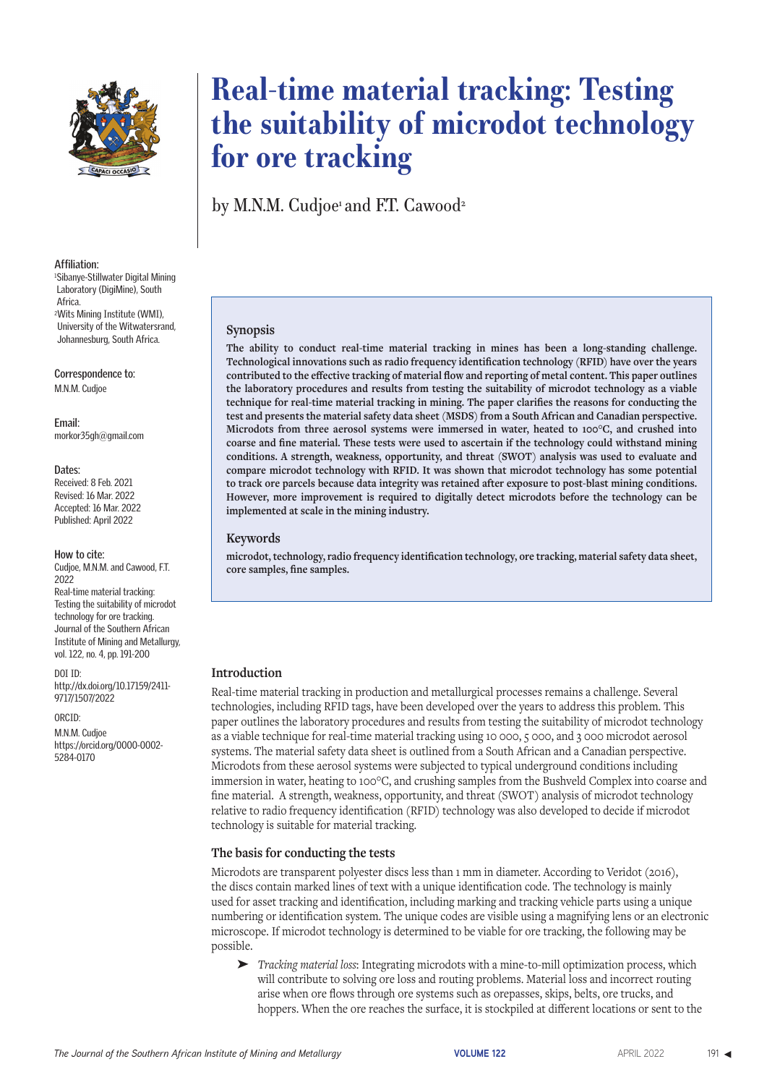

by M.N.M. Cudjoe and F.T. Cawood<sup>2</sup>

**Affiliation:**

Laboratory (DigiMine), South Africa. 2Wits Mining Institute (WMI), University of the Witwatersrand, Johannesburg, South Africa.

1 Sibanye-Stillwater Digital Mining

**Correspondence to:** M.N.M. Cudjoe

**Email:** morkor35gh@gmail.com

#### **Dates:**

Received: 8 Feb. 2021 Revised: 16 Mar. 2022 Accepted: 16 Mar. 2022 Published: April 2022

#### **How to cite:**

Cudjoe, M.N.M. and Cawood, F.T. 2022 Real-time material tracking: Testing the suitability of microdot technology for ore tracking. Journal of the Southern African Institute of Mining and Metallurgy, vol. 122, no. 4, pp. 191-200

DOI ID: http://dx.doi.org/10.17159/2411- 9717/1507/2022

ORCID:

M.N.M. Cudjoe https://orcid.org/0000-0002- 5284-0170

### **Synopsis**

**The ability to conduct real-time material tracking in mines has been a long-standing challenge. Technological innovations such as radio frequency identification technology (RFID) have over the years contributed to the effective tracking of material flow and reporting of metal content. This paper outlines the laboratory procedures and results from testing the suitability of microdot technology as a viable technique for real-time material tracking in mining. The paper clarifies the reasons for conducting the test and presents the material safety data sheet (MSDS) from a South African and Canadian perspective. Microdots from three aerosol systems were immersed in water, heated to 100°C, and crushed into coarse and fine material. These tests were used to ascertain if the technology could withstand mining conditions. A strength, weakness, opportunity, and threat (SWOT) analysis was used to evaluate and compare microdot technology with RFID. It was shown that microdot technology has some potential to track ore parcels because data integrity was retained after exposure to post-blast mining conditions. However, more improvement is required to digitally detect microdots before the technology can be implemented at scale in the mining industry.**

#### **Keywords**

**microdot, technology, radio frequency identification technology, ore tracking, material safety data sheet, core samples, fine samples.**

#### **Introduction**

Real-time material tracking in production and metallurgical processes remains a challenge. Several technologies, including RFID tags, have been developed over the years to address this problem. This paper outlines the laboratory procedures and results from testing the suitability of microdot technology as a viable technique for real-time material tracking using 10 000, 5 000, and 3 000 microdot aerosol systems. The material safety data sheet is outlined from a South African and a Canadian perspective. Microdots from these aerosol systems were subjected to typical underground conditions including immersion in water, heating to 100°C, and crushing samples from the Bushveld Complex into coarse and fine material. A strength, weakness, opportunity, and threat (SWOT) analysis of microdot technology relative to radio frequency identification (RFID) technology was also developed to decide if microdot technology is suitable for material tracking.

#### **The basis for conducting the tests**

Microdots are transparent polyester discs less than 1 mm in diameter. According to Veridot (2016), the discs contain marked lines of text with a unique identification code. The technology is mainly used for asset tracking and identification, including marking and tracking vehicle parts using a unique numbering or identification system. The unique codes are visible using a magnifying lens or an electronic microscope. If microdot technology is determined to be viable for ore tracking, the following may be possible.

➤ *Tracking material loss*: Integrating microdots with a mine-to-mill optimization process, which will contribute to solving ore loss and routing problems. Material loss and incorrect routing arise when ore flows through ore systems such as orepasses, skips, belts, ore trucks, and hoppers. When the ore reaches the surface, it is stockpiled at different locations or sent to the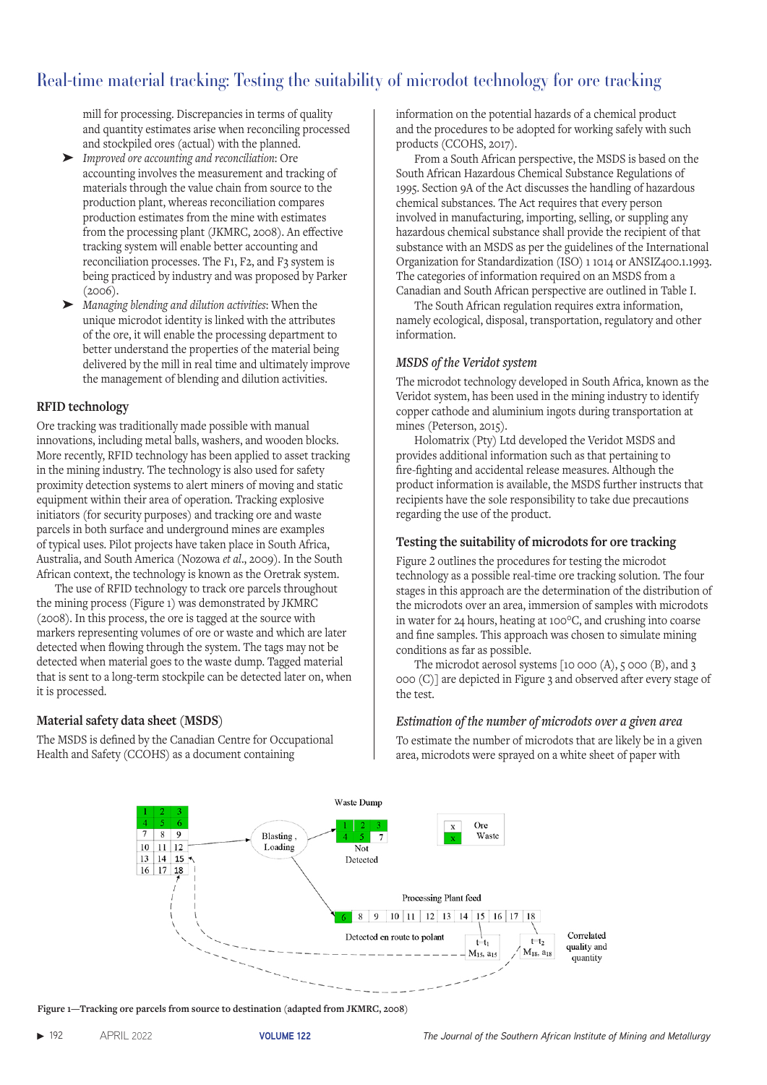mill for processing. Discrepancies in terms of quality and quantity estimates arise when reconciling processed and stockpiled ores (actual) with the planned.

- ➤ *Improved ore accounting and reconciliation*: Ore accounting involves the measurement and tracking of materials through the value chain from source to the production plant, whereas reconciliation compares production estimates from the mine with estimates from the processing plant (JKMRC, 2008). An effective tracking system will enable better accounting and reconciliation processes. The F1, F2, and F3 system is being practiced by industry and was proposed by Parker (2006).
- ➤ *Managing blending and dilution activities*: When the unique microdot identity is linked with the attributes of the ore, it will enable the processing department to better understand the properties of the material being delivered by the mill in real time and ultimately improve the management of blending and dilution activities.

### **RFID technology**

Ore tracking was traditionally made possible with manual innovations, including metal balls, washers, and wooden blocks. More recently, RFID technology has been applied to asset tracking in the mining industry. The technology is also used for safety proximity detection systems to alert miners of moving and static equipment within their area of operation. Tracking explosive initiators (for security purposes) and tracking ore and waste parcels in both surface and underground mines are examples of typical uses. Pilot projects have taken place in South Africa, Australia, and South America (Nozowa *et al*., 2009). In the South African context, the technology is known as the Oretrak system.

The use of RFID technology to track ore parcels throughout the mining process (Figure 1) was demonstrated by JKMRC (2008). In this process, the ore is tagged at the source with markers representing volumes of ore or waste and which are later detected when flowing through the system. The tags may not be detected when material goes to the waste dump. Tagged material that is sent to a long-term stockpile can be detected later on, when it is processed.

### **Material safety data sheet (MSDS)**

The MSDS is defined by the Canadian Centre for Occupational Health and Safety (CCOHS) as a document containing

information on the potential hazards of a chemical product and the procedures to be adopted for working safely with such products (CCOHS, 2017).

From a South African perspective, the MSDS is based on the South African Hazardous Chemical Substance Regulations of 1995. Section 9A of the Act discusses the handling of hazardous chemical substances. The Act requires that every person involved in manufacturing, importing, selling, or suppling any hazardous chemical substance shall provide the recipient of that substance with an MSDS as per the guidelines of the International Organization for Standardization (ISO) 1 1014 or ANSIZ400.1.1993. The categories of information required on an MSDS from a Canadian and South African perspective are outlined in Table I.

The South African regulation requires extra information, namely ecological, disposal, transportation, regulatory and other information.

#### *MSDS of the Veridot system*

The microdot technology developed in South Africa, known as the Veridot system, has been used in the mining industry to identify copper cathode and aluminium ingots during transportation at mines (Peterson, 2015).

Holomatrix (Pty) Ltd developed the Veridot MSDS and provides additional information such as that pertaining to fire-fighting and accidental release measures. Although the product information is available, the MSDS further instructs that recipients have the sole responsibility to take due precautions regarding the use of the product.

### **Testing the suitability of microdots for ore tracking**

Figure 2 outlines the procedures for testing the microdot technology as a possible real-time ore tracking solution. The four stages in this approach are the determination of the distribution of the microdots over an area, immersion of samples with microdots in water for 24 hours, heating at 100°C, and crushing into coarse and fine samples. This approach was chosen to simulate mining conditions as far as possible.

The microdot aerosol systems [10 000 (A), 5 000 (B), and 3 000 (C)] are depicted in Figure 3 and observed after every stage of the test.

### *Estimation of the number of microdots over a given area*

To estimate the number of microdots that are likely be in a given area, microdots were sprayed on a white sheet of paper with



**Figure 1—Tracking ore parcels from source to destination (adapted from JKMRC, 2008)**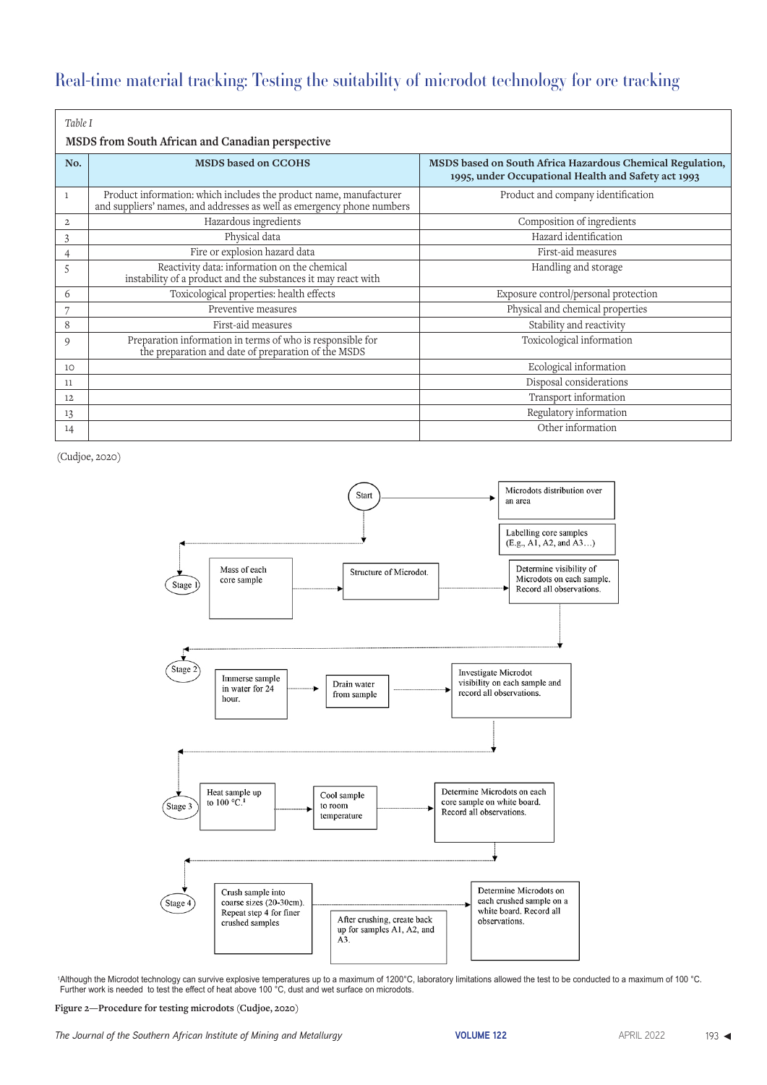| Table I        |                                                                                                                                              |                                                                                                                  |  |  |  |  |  |
|----------------|----------------------------------------------------------------------------------------------------------------------------------------------|------------------------------------------------------------------------------------------------------------------|--|--|--|--|--|
|                | MSDS from South African and Canadian perspective                                                                                             |                                                                                                                  |  |  |  |  |  |
| No.            | <b>MSDS</b> based on CCOHS                                                                                                                   | MSDS based on South Africa Hazardous Chemical Regulation,<br>1995, under Occupational Health and Safety act 1993 |  |  |  |  |  |
| $\mathbf{1}$   | Product information: which includes the product name, manufacturer<br>and suppliers' names, and addresses as well as emergency phone numbers | Product and company identification                                                                               |  |  |  |  |  |
| $\overline{c}$ | Hazardous ingredients                                                                                                                        | Composition of ingredients                                                                                       |  |  |  |  |  |
| 3              | Physical data                                                                                                                                | Hazard identification                                                                                            |  |  |  |  |  |
| 4              | Fire or explosion hazard data                                                                                                                | First-aid measures                                                                                               |  |  |  |  |  |
| 5              | Reactivity data: information on the chemical<br>instability of a product and the substances it may react with                                | Handling and storage                                                                                             |  |  |  |  |  |
| 6              | Toxicological properties: health effects                                                                                                     | Exposure control/personal protection                                                                             |  |  |  |  |  |
|                | Preventive measures                                                                                                                          | Physical and chemical properties                                                                                 |  |  |  |  |  |
| 8              | First-aid measures                                                                                                                           | Stability and reactivity                                                                                         |  |  |  |  |  |
| 9              | Preparation information in terms of who is responsible for<br>the preparation and date of preparation of the MSDS                            | Toxicological information                                                                                        |  |  |  |  |  |
| 10             |                                                                                                                                              | Ecological information                                                                                           |  |  |  |  |  |
| 11             |                                                                                                                                              | Disposal considerations                                                                                          |  |  |  |  |  |
| 12             |                                                                                                                                              | Transport information                                                                                            |  |  |  |  |  |
| 13             |                                                                                                                                              | Regulatory information                                                                                           |  |  |  |  |  |
| 14             |                                                                                                                                              | Other information                                                                                                |  |  |  |  |  |

(Cudjoe, 2020)



1Although the Microdot technology can survive explosive temperatures up to a maximum of 1200°C, laboratory limitations allowed the test to be conducted to a maximum of 100 °C. Further work is needed to test the effect of heat above 100 °C, dust and wet surface on microdots.

**Figure 2—Procedure for testing microdots (Cudjoe, 2020)**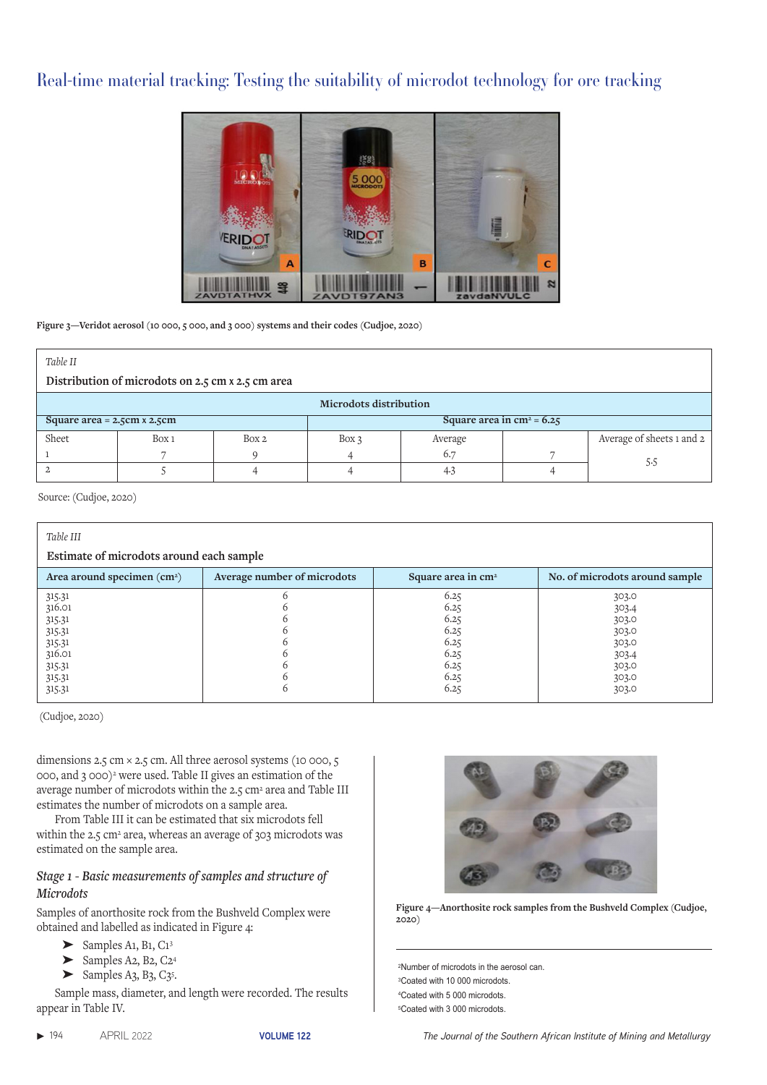

**Figure 3—Veridot aerosol (10 000, 5 000, and 3 000) systems and their codes (Cudjoe, 2020)** 

| Table II                                                                  |       |       |       |         |  |                           |
|---------------------------------------------------------------------------|-------|-------|-------|---------|--|---------------------------|
| Distribution of microdots on 2.5 cm x 2.5 cm area                         |       |       |       |         |  |                           |
| <b>Microdots distribution</b>                                             |       |       |       |         |  |                           |
| Square area in $\text{cm}^2$ = 6.25<br>Square area = $2.5cm \times 2.5cm$ |       |       |       |         |  |                           |
| Sheet                                                                     | Box 1 | Box 2 | Box 3 | Average |  | Average of sheets 1 and 2 |
|                                                                           |       |       |       | 6.7     |  | 5.5                       |
|                                                                           |       |       |       | 4.3     |  |                           |

Source: (Cudjoe, 2020)

| Table III<br>Estimate of microdots around each sample                                  |                             |                                                                      |                                                                               |  |
|----------------------------------------------------------------------------------------|-----------------------------|----------------------------------------------------------------------|-------------------------------------------------------------------------------|--|
| Area around specimen $(cm2)$                                                           | Average number of microdots | Square area in cm <sup>2</sup>                                       | No. of microdots around sample                                                |  |
| 315.31<br>316.01<br>315.31<br>315.31<br>315.31<br>316.01<br>315.31<br>315.31<br>315.31 | b                           | 6.25<br>6.25<br>6.25<br>6.25<br>6.25<br>6.25<br>6.25<br>6.25<br>6.25 | 303.0<br>303.4<br>303.0<br>303.0<br>303.0<br>303.4<br>303.0<br>303.0<br>303.0 |  |

(Cudjoe, 2020)

dimensions 2.5 cm × 2.5 cm. All three aerosol systems (10 000, 5 000, and 3 000)2 were used. Table II gives an estimation of the average number of microdots within the 2.5 cm<sup>2</sup> area and Table III estimates the number of microdots on a sample area.

From Table III it can be estimated that six microdots fell within the 2.5 cm<sup>2</sup> area, whereas an average of 303 microdots was estimated on the sample area.

### *Stage 1 - Basic measurements of samples and structure of Microdots*

Samples of anorthosite rock from the Bushveld Complex were obtained and labelled as indicated in Figure 4:

- $\blacktriangleright$  Samples A1, B1, C1<sup>3</sup>
- ➤ Samples A2, B2, C24
- $\blacktriangleright$  Samples A3, B3, C3<sup>5</sup>.

Sample mass, diameter, and length were recorded. The results appear in Table IV.



**Figure 4—Anorthosite rock samples from the Bushveld Complex (Cudjoe, 2020)**

2Number of microdots in the aerosol can. 3Coated with 10 000 microdots. 4Coated with 5 000 microdots.

<sup>5</sup>Coated with 3 000 microdots.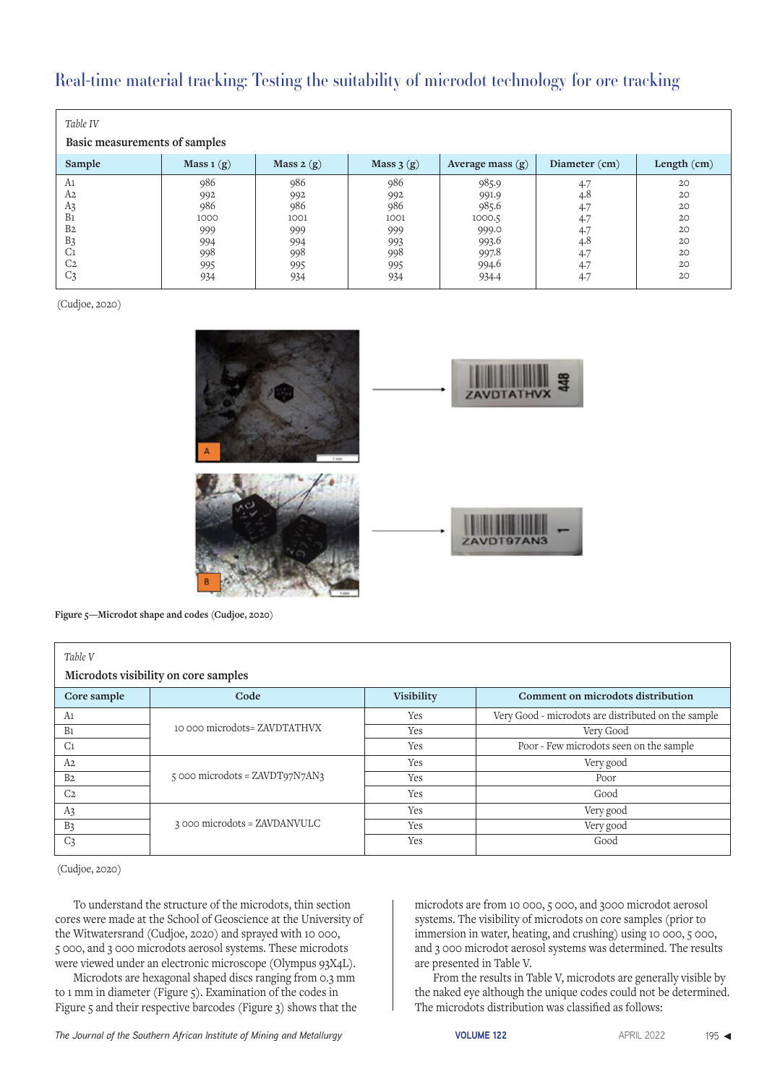| Table IV<br>Basic measurements of samples |             |             |             |                    |               |             |
|-------------------------------------------|-------------|-------------|-------------|--------------------|---------------|-------------|
| Sample                                    | Mass $1(g)$ | Mass $2(g)$ | Mass $3(g)$ | Average mass $(g)$ | Diameter (cm) | Length (cm) |
| A1                                        | 986         | 986         | 986         | 985.9              | 4.7           | 20          |
| A2                                        | 992         | 992         | 992         | 991.9              | 4.8           | 20          |
| A3                                        | 986         | 986         | 986         | 985.6              | 4.7           | 20          |
| B <sub>1</sub>                            | 1000        | 1001        | 1001        | 1000.5             | 4.7           | 20          |
| B <sub>2</sub>                            | 999         | 999         | 999         | 999.0              | 4.7           | 20          |
| B <sub>3</sub>                            | 994         | 994         | 993         | 993.6              | 4.8           | 20          |
| C <sub>1</sub>                            | 998         | 998         | 998         | 997.8              | 4.7           | 20          |
| C <sub>2</sub>                            | 995         | 995         | 995         | 994.6              | 4.7           | 20          |
| C <sub>3</sub>                            | 934         | 934         | 934         | 934.4              | 4.7           | 20          |

(Cudjoe, 2020)



**Figure 5—Microdot shape and codes (Cudjoe, 2020)**

| Table V<br>Microdots visibility on core samples |                                  |                   |                                                     |  |  |
|-------------------------------------------------|----------------------------------|-------------------|-----------------------------------------------------|--|--|
| Core sample                                     | Code                             | <b>Visibility</b> | Comment on microdots distribution                   |  |  |
| A1                                              |                                  | Yes               | Very Good - microdots are distributed on the sample |  |  |
| B <sub>1</sub>                                  | 10 000 microdots= ZAVDTATHVX     | Yes               | Very Good                                           |  |  |
| C <sub>1</sub>                                  |                                  | Yes               | Poor - Few microdots seen on the sample             |  |  |
| A <sub>2</sub>                                  |                                  | Yes               | Very good                                           |  |  |
| B <sub>2</sub>                                  | 5 000 microdots = $ZAVDT97N7AN3$ | Yes               | Poor                                                |  |  |
| C <sub>2</sub>                                  |                                  | Yes               | Good                                                |  |  |
| A <sub>3</sub>                                  |                                  | Yes               | Very good                                           |  |  |
| B <sub>3</sub>                                  | 3 000 microdots = ZAVDANVULC     | Yes               | Very good                                           |  |  |
| C <sub>3</sub>                                  |                                  | Yes               | Good                                                |  |  |

(Cudjoe, 2020)

To understand the structure of the microdots, thin section cores were made at the School of Geoscience at the University of the Witwatersrand (Cudjoe, 2020) and sprayed with 10 000, 5 000, and 3 000 microdots aerosol systems. These microdots were viewed under an electronic microscope (Olympus 93X4L).

Microdots are hexagonal shaped discs ranging from 0.3 mm to 1 mm in diameter (Figure 5). Examination of the codes in Figure 5 and their respective barcodes (Figure 3) shows that the microdots are from 10 000, 5 000, and 3000 microdot aerosol systems. The visibility of microdots on core samples (prior to immersion in water, heating, and crushing) using 10 000, 5 000, and 3 000 microdot aerosol systems was determined. The results are presented in Table V.

From the results in Table V, microdots are generally visible by the naked eye although the unique codes could not be determined. The microdots distribution was classified as follows: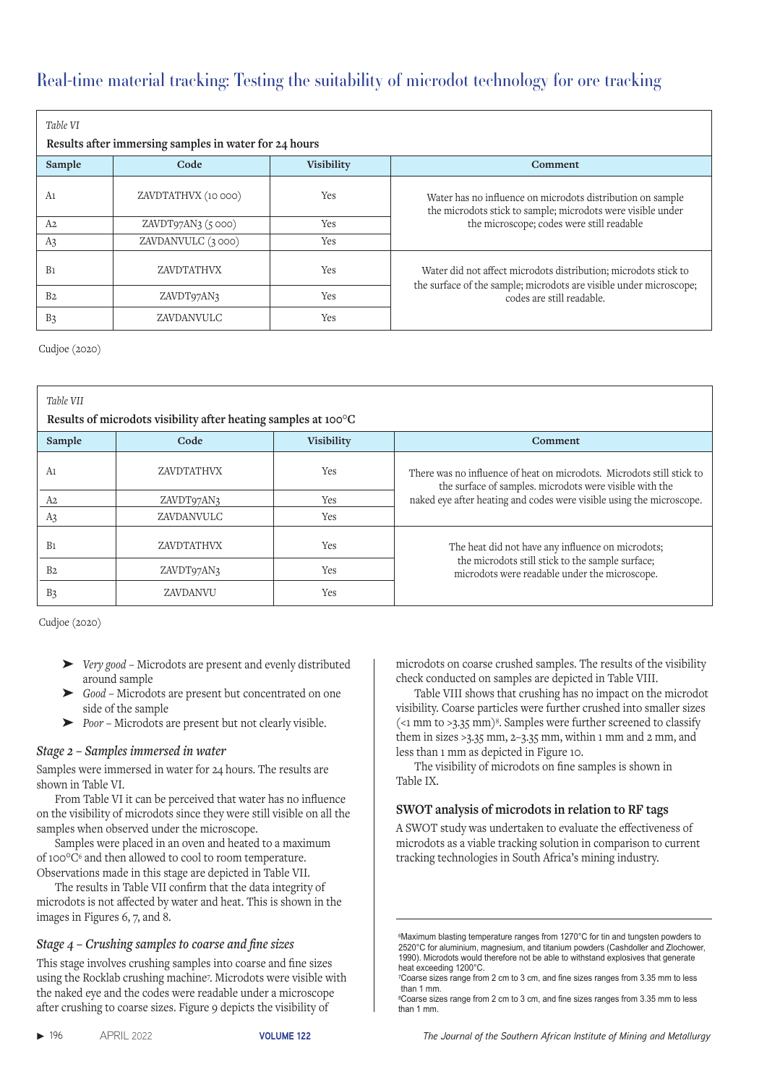| Table VI       |                                                       |                   |                                                                                                                                       |
|----------------|-------------------------------------------------------|-------------------|---------------------------------------------------------------------------------------------------------------------------------------|
|                | Results after immersing samples in water for 24 hours |                   |                                                                                                                                       |
| Sample         | Code                                                  | <b>Visibility</b> | Comment                                                                                                                               |
| A1             | ZAVDTATHVX (10 000)                                   | Yes               | Water has no influence on microdots distribution on sample<br>the microdots stick to sample; microdots were visible under             |
| A <sub>2</sub> | ZAVDT97AN3(5000)                                      | Yes               | the microscope; codes were still readable                                                                                             |
| A <sub>3</sub> | ZAVDANVULC (3000)                                     | Yes               |                                                                                                                                       |
| B <sub>1</sub> | <b>ZAVDTATHVX</b>                                     | Yes               | Water did not affect microdots distribution; microdots stick to<br>the surface of the sample; microdots are visible under microscope; |
| B <sub>2</sub> | ZAVDT97AN3                                            | Yes               | codes are still readable.                                                                                                             |
| B <sub>3</sub> | ZAVDANVULC                                            | Yes               |                                                                                                                                       |

Cudjoe (2020)

| Table VII<br>Results of microdots visibility after heating samples at 100°C |                   |                   |                                                                                                                                  |  |  |
|-----------------------------------------------------------------------------|-------------------|-------------------|----------------------------------------------------------------------------------------------------------------------------------|--|--|
| Sample                                                                      | Code              | <b>Visibility</b> | Comment                                                                                                                          |  |  |
| A1                                                                          | <b>ZAVDTATHVX</b> | Yes               | There was no influence of heat on microdots. Microdots still stick to<br>the surface of samples, microdots were visible with the |  |  |
| A <sub>2</sub>                                                              | ZAVDT97AN3        | Yes               | naked eye after heating and codes were visible using the microscope.                                                             |  |  |
| A <sub>3</sub>                                                              | ZAVDANVULC        | Yes               |                                                                                                                                  |  |  |
| B <sub>1</sub>                                                              | <b>ZAVDTATHVX</b> | <b>Yes</b>        | The heat did not have any influence on microdots;                                                                                |  |  |
| B <sub>2</sub>                                                              | ZAVDT97AN3        | Yes               | the microdots still stick to the sample surface;<br>microdots were readable under the microscope.                                |  |  |
| B <sub>3</sub>                                                              | <b>ZAVDANVU</b>   | Yes               |                                                                                                                                  |  |  |

Cudjoe (2020)

- ➤ *Very good* Microdots are present and evenly distributed around sample
- ➤ *Good* Microdots are present but concentrated on one side of the sample
- ➤ *Poor*  Microdots are present but not clearly visible.

### *Stage 2 – Samples immersed in water*

Samples were immersed in water for 24 hours. The results are shown in Table VI.

From Table VI it can be perceived that water has no influence on the visibility of microdots since they were still visible on all the samples when observed under the microscope.

Samples were placed in an oven and heated to a maximum of 100°C6 and then allowed to cool to room temperature. Observations made in this stage are depicted in Table VII.

The results in Table VII confirm that the data integrity of microdots is not affected by water and heat. This is shown in the images in Figures 6, 7, and 8.

### *Stage 4 – Crushing samples to coarse and fine sizes*

This stage involves crushing samples into coarse and fine sizes using the Rocklab crushing machine7 . Microdots were visible with the naked eye and the codes were readable under a microscope after crushing to coarse sizes. Figure 9 depicts the visibility of

microdots on coarse crushed samples. The results of the visibility check conducted on samples are depicted in Table VIII.

Table VIII shows that crushing has no impact on the microdot visibility. Coarse particles were further crushed into smaller sizes  $\approx$  1 mm to >3.35 mm)<sup>8</sup>. Samples were further screened to classify them in sizes  $>3.35$  mm,  $2-3.35$  mm, within 1 mm and 2 mm, and less than 1 mm as depicted in Figure 10.

The visibility of microdots on fine samples is shown in Table IX.

### **SWOT analysis of microdots in relation to RF tags**

A SWOT study was undertaken to evaluate the effectiveness of microdots as a viable tracking solution in comparison to current tracking technologies in South Africa's mining industry.

<sup>6</sup>Maximum blasting temperature ranges from 1270°C for tin and tungsten powders to 2520°C for aluminium, magnesium, and titanium powders (Cashdoller and Zlochower, 1990). Microdots would therefore not be able to withstand explosives that generate heat exceeding 1200°C.

<sup>7</sup>Coarse sizes range from 2 cm to 3 cm, and fine sizes ranges from 3.35 mm to less than 1 mm.

<sup>8</sup>Coarse sizes range from 2 cm to 3 cm, and fine sizes ranges from 3.35 mm to less than 1 mm.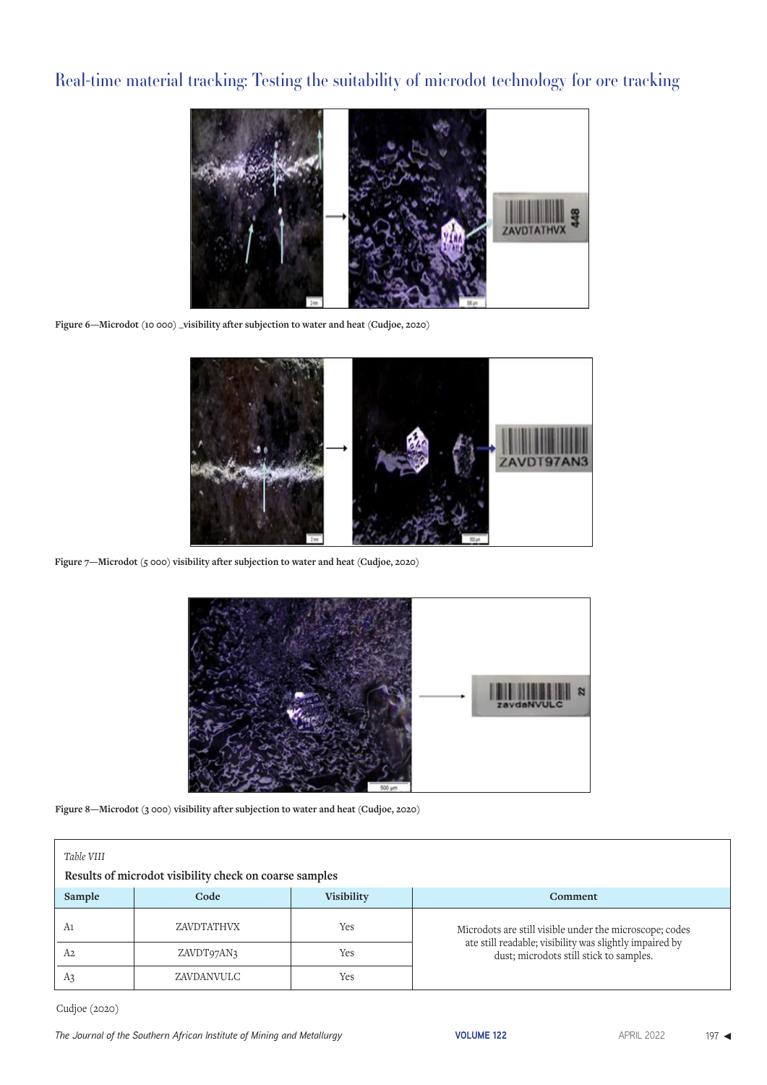

**Figure 6—Microdot (10 000) \_visibility after subjection to water and heat (Cudjoe, 2020)** 



**Figure 7—Microdot (5 000) visibility after subjection to water and heat (Cudjoe, 2020)** 



**Figure 8—Microdot (3 000) visibility after subjection to water and heat (Cudjoe, 2020)**

| Table VIII<br>Results of microdot visibility check on coarse samples |            |     |                                                                                                    |  |  |
|----------------------------------------------------------------------|------------|-----|----------------------------------------------------------------------------------------------------|--|--|
| Sample<br>Code<br><b>Visibility</b>                                  |            |     | Comment                                                                                            |  |  |
| A1                                                                   | ZAVDTATHVX | Yes | Microdots are still visible under the microscope; codes                                            |  |  |
| A2                                                                   | ZAVDT97AN3 | Yes | ate still readable; visibility was slightly impaired by<br>dust; microdots still stick to samples. |  |  |
| A3                                                                   | ZAVDANVULC | Yes |                                                                                                    |  |  |

Cudjoe (2020)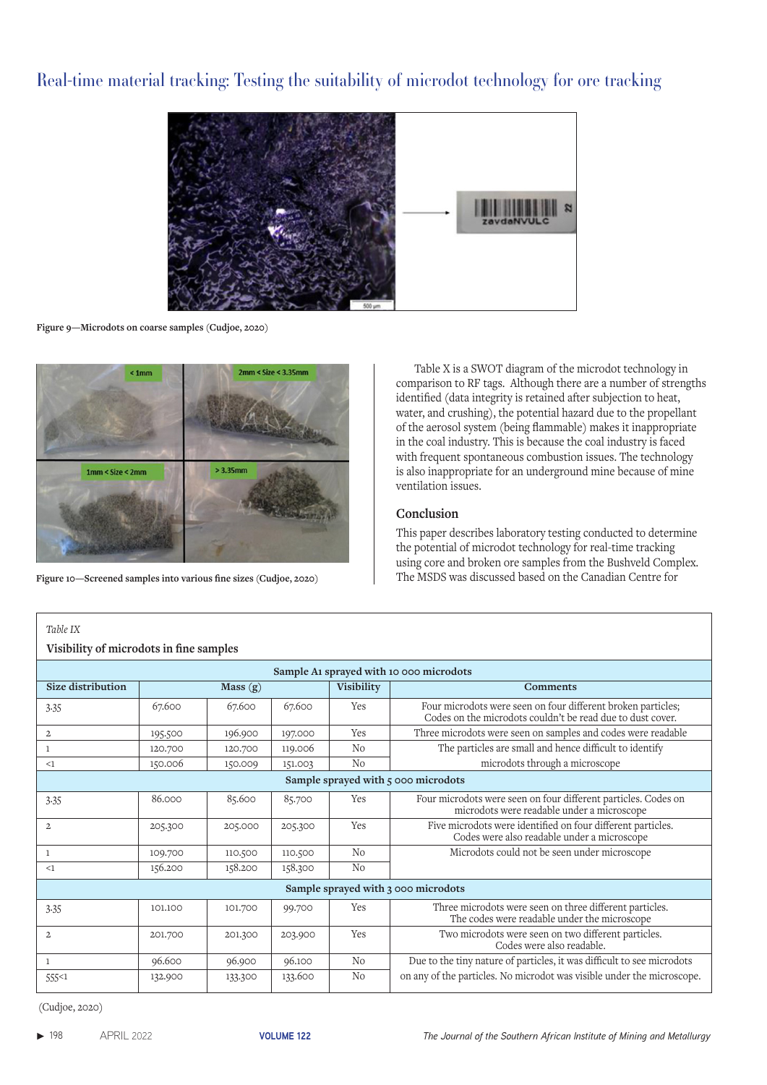

**Figure 9—Microdots on coarse samples (Cudjoe, 2020)**



**Figure 10—Screened samples into various fine sizes (Cudjoe, 2020)**

Table X is a SWOT diagram of the microdot technology in comparison to RF tags. Although there are a number of strengths identified (data integrity is retained after subjection to heat, water, and crushing), the potential hazard due to the propellant of the aerosol system (being flammable) makes it inappropriate in the coal industry. This is because the coal industry is faced with frequent spontaneous combustion issues. The technology is also inappropriate for an underground mine because of mine ventilation issues.

### **Conclusion**

This paper describes laboratory testing conducted to determine the potential of microdot technology for real-time tracking using core and broken ore samples from the Bushveld Complex. The MSDS was discussed based on the Canadian Centre for

| Visibility of microdots in fine samples |         |         |         |                   |                                                                                                                            |  |
|-----------------------------------------|---------|---------|---------|-------------------|----------------------------------------------------------------------------------------------------------------------------|--|
| Sample A1 sprayed with 10 000 microdots |         |         |         |                   |                                                                                                                            |  |
| Size distribution                       |         | Mass(g) |         | <b>Visibility</b> | <b>Comments</b>                                                                                                            |  |
| 3.35                                    | 67.600  | 67.600  | 67.600  | Yes               | Four microdots were seen on four different broken particles;<br>Codes on the microdots couldn't be read due to dust cover. |  |
| $\overline{a}$                          | 195.500 | 196.900 | 197.000 | Yes               | Three microdots were seen on samples and codes were readable                                                               |  |
| 1                                       | 120.700 | 120.700 | 119.006 | N <sub>0</sub>    | The particles are small and hence difficult to identify                                                                    |  |
| <1                                      | 150.006 | 150.009 | 151.003 | N <sub>0</sub>    | microdots through a microscope                                                                                             |  |
|                                         |         |         |         |                   | Sample sprayed with 5 000 microdots                                                                                        |  |
| 3.35                                    | 86.000  | 85.600  | 85.700  | Yes               | Four microdots were seen on four different particles. Codes on<br>microdots were readable under a microscope               |  |
| $\overline{2}$                          | 205.300 | 205.000 | 205.300 | Yes               | Five microdots were identified on four different particles.<br>Codes were also readable under a microscope                 |  |
| 1                                       | 109.700 | 110.500 | 110.500 | N <sub>0</sub>    | Microdots could not be seen under microscope                                                                               |  |
| <1                                      | 156.200 | 158.200 | 158.300 | No                |                                                                                                                            |  |
|                                         |         |         |         |                   | Sample sprayed with 3 000 microdots                                                                                        |  |
| 3.35                                    | 101.100 | 101.700 | 99.700  | Yes               | Three microdots were seen on three different particles.<br>The codes were readable under the microscope                    |  |
| $\overline{2}$                          | 201.700 | 201.300 | 203.900 | Yes               | Two microdots were seen on two different particles.<br>Codes were also readable.                                           |  |
| $\mathbf{1}$                            | 96.600  | 96.900  | 96.100  | N <sub>0</sub>    | Due to the tiny nature of particles, it was difficult to see microdots                                                     |  |
| 555<1                                   | 132.900 | 133.300 | 133.600 | No                | on any of the particles. No microdot was visible under the microscope.                                                     |  |

(Cudjoe, 2020)

 *Table IX*